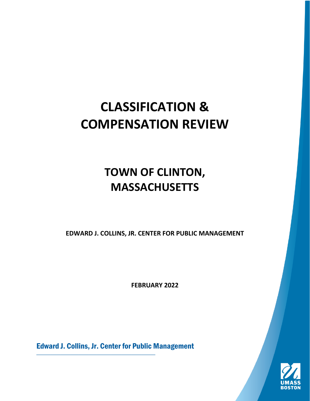# **CLASSIFICATION & COMPENSATION REVIEW**

# **TOWN OF CLINTON, MASSACHUSETTS**

**EDWARD J. COLLINS, JR. CENTER FOR PUBLIC MANAGEMENT**

**FEBRUARY 2022**

Edward J. Collins, Jr. Center for Public Management

 $\_$  , and the set of the set of the set of the set of the set of the set of the set of the set of the set of the set of the set of the set of the set of the set of the set of the set of the set of the set of the set of th

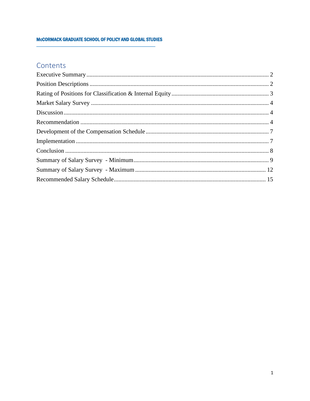#### MCCORMACK GRADUATE SCHOOL OF POLICY AND GLOBAL STUDIES

## Contents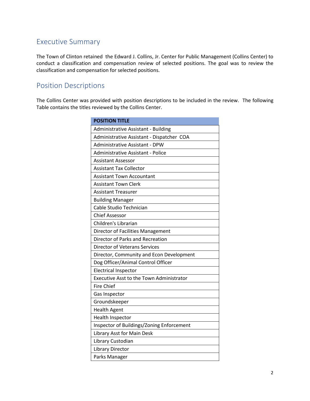# <span id="page-2-0"></span>Executive Summary

The Town of Clinton retained the Edward J. Collins, Jr. Center for Public Management (Collins Center) to conduct a classification and compensation review of selected positions. The goal was to review the classification and compensation for selected positions.

## <span id="page-2-1"></span>Position Descriptions

The Collins Center was provided with position descriptions to be included in the review. The following Table contains the titles reviewed by the Collins Center.

| <b>POSITION TITLE</b>                           |
|-------------------------------------------------|
| Administrative Assistant - Building             |
| Administrative Assistant - Dispatcher COA       |
| Administrative Assistant - DPW                  |
| Administrative Assistant - Police               |
| <b>Assistant Assessor</b>                       |
| <b>Assistant Tax Collector</b>                  |
| <b>Assistant Town Accountant</b>                |
| <b>Assistant Town Clerk</b>                     |
| <b>Assistant Treasurer</b>                      |
| <b>Building Manager</b>                         |
| Cable Studio Technician                         |
| <b>Chief Assessor</b>                           |
| Children's Librarian                            |
| Director of Facilities Management               |
| Director of Parks and Recreation                |
| <b>Director of Veterans Services</b>            |
| Director, Community and Econ Development        |
| Dog Officer/Animal Control Officer              |
| <b>Electrical Inspector</b>                     |
| <b>Executive Asst to the Town Administrator</b> |
| <b>Fire Chief</b>                               |
| Gas Inspector                                   |
| Groundskeeper                                   |
| <b>Health Agent</b>                             |
| Health Inspector                                |
| Inspector of Buildings/Zoning Enforcement       |
| Library Asst for Main Desk                      |
| Library Custodian                               |
| Library Director                                |
| Parks Manager                                   |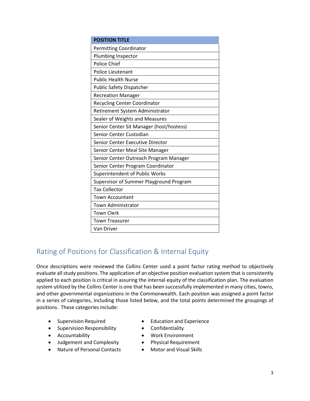| <b>POSITION TITLE</b>                    |
|------------------------------------------|
| <b>Permitting Coordinator</b>            |
| Plumbing Inspector                       |
| Police Chief                             |
| <b>Police Lieutenant</b>                 |
| <b>Public Health Nurse</b>               |
| <b>Public Safety Dispatcher</b>          |
| <b>Recreation Manager</b>                |
| <b>Recycling Center Coordinator</b>      |
| Retirement System Administrator          |
| Sealer of Weights and Measures           |
| Senior Center Sit Manager (host/hostess) |
| Senior Center Custodian                  |
| Senior Center Executive Director         |
| Senior Center Meal Site Manager          |
| Senior Center Outreach Program Manager   |
| Senior Center Program Coordinator        |
| Superintendent of Public Works           |
| Supervisor of Summer Playground Program  |
| <b>Tax Collector</b>                     |
| <b>Town Accountant</b>                   |
| <b>Town Administrator</b>                |
| <b>Town Clerk</b>                        |
| <b>Town Treasurer</b>                    |
| Van Driver                               |

# <span id="page-3-0"></span>Rating of Positions for Classification & Internal Equity

Once descriptions were reviewed the Collins Center used a point factor rating method to objectively evaluate all study positions. The application of an objective position evaluation system that is consistently applied to each position is critical in assuring the internal equity of the classification plan. The evaluation system utilized by the Collins Center is one that has been successfully implemented in many cities, towns, and other governmental organizations in the Commonwealth. Each position was assigned a point factor in a series of categories, including those listed below, and the total points determined the groupings of positions. These categories include:

- 
- Supervision Responsibility Confidentiality
- 
- Judgement and Complexity Physical Requirement
- Nature of Personal Contacts Motor and Visual Skills
- Supervision Required Education and Experience
	-
- Accountability **•** Work Environment
	-
	-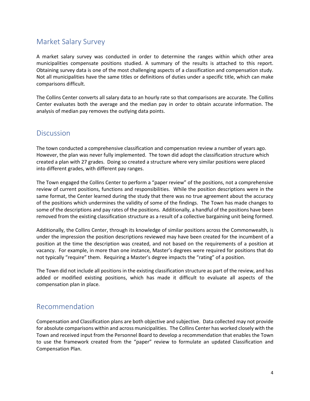# <span id="page-4-0"></span>Market Salary Survey

A market salary survey was conducted in order to determine the ranges within which other area municipalities compensate positions studied. A summary of the results is attached to this report. Obtaining survey data is one of the most challenging aspects of a classification and compensation study. Not all municipalities have the same titles or definitions of duties under a specific title, which can make comparisons difficult.

The Collins Center converts all salary data to an hourly rate so that comparisons are accurate. The Collins Center evaluates both the average and the median pay in order to obtain accurate information. The analysis of median pay removes the outlying data points.

#### <span id="page-4-1"></span>**Discussion**

The town conducted a comprehensive classification and compensation review a number of years ago. However, the plan was never fully implemented. The town did adopt the classification structure which created a plan with 27 grades. Doing so created a structure where very similar positions were placed into different grades, with different pay ranges.

The Town engaged the Collins Center to perform a "paper review" of the positions, not a comprehensive review of current positions, functions and responsibilities. While the position descriptions were in the same format, the Center learned during the study that there was no true agreement about the accuracy of the positions which undermines the validity of some of the findings. The Town has made changes to some of the descriptions and pay rates of the positions. Additionally, a handful of the positions have been removed from the existing classification structure as a result of a collective bargaining unit being formed.

Additionally, the Collins Center, through its knowledge of similar positions across the Commonwealth, is under the impression the position descriptions reviewed may have been created for the incumbent of a position at the time the description was created, and not based on the requirements of a position at vacancy. For example, in more than one instance, Master's degrees were required for positions that do not typically "require" them. Requiring a Master's degree impacts the "rating" of a position.

The Town did not include all positions in the existing classification structure as part of the review, and has added or modified existing positions, which has made it difficult to evaluate all aspects of the compensation plan in place.

### <span id="page-4-2"></span>Recommendation

Compensation and Classification plans are both objective and subjective. Data collected may not provide for absolute comparisons within and across municipalities. The Collins Center has worked closely with the Town and received input from the Personnel Board to develop a recommendation that enables the Town to use the framework created from the "paper" review to formulate an updated Classification and Compensation Plan.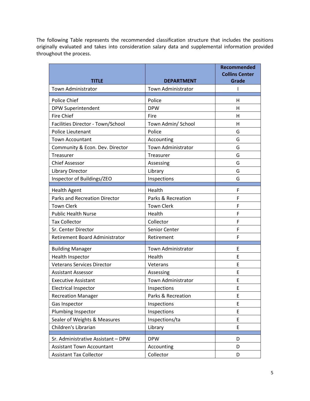The following Table represents the recommended classification structure that includes the positions originally evaluated and takes into consideration salary data and supplemental information provided throughout the process.

| <b>TITLE</b>                          | <b>DEPARTMENT</b>         | Recommended<br><b>Collins Center</b><br><b>Grade</b> |
|---------------------------------------|---------------------------|------------------------------------------------------|
| <b>Town Administrator</b>             | Town Administrator        |                                                      |
| Police Chief                          | Police                    | н                                                    |
| DPW Superintendent                    | <b>DPW</b>                | Н                                                    |
| <b>Fire Chief</b>                     | Fire                      | H                                                    |
| Facilities Director - Town/School     | Town Admin/ School        | Н                                                    |
| Police Lieutenant                     | Police                    | G                                                    |
| <b>Town Accountant</b>                | Accounting                | G                                                    |
| Community & Econ. Dev. Director       | Town Administrator        | G                                                    |
| <b>Treasurer</b>                      | Treasurer                 | G                                                    |
| <b>Chief Assessor</b>                 | Assessing                 | G                                                    |
| <b>Library Director</b>               | Library                   | G                                                    |
| Inspector of Buildings/ZEO            | Inspections               | G                                                    |
| <b>Health Agent</b>                   | Health                    | F                                                    |
| <b>Parks and Recreation Director</b>  | Parks & Recreation        | F                                                    |
| <b>Town Clerk</b>                     | <b>Town Clerk</b>         | F                                                    |
| <b>Public Health Nurse</b>            | Health                    | F                                                    |
| <b>Tax Collector</b>                  | Collector                 | F                                                    |
| Sr. Center Director                   | Senior Center             | F                                                    |
| <b>Retirement Board Administrator</b> | Retirement                | F                                                    |
| <b>Building Manager</b>               | Town Administrator        | E                                                    |
| Health Inspector                      | Health                    | E                                                    |
| <b>Veterans Services Director</b>     | Veterans                  | E                                                    |
| <b>Assistant Assessor</b>             | Assessing                 | E                                                    |
| <b>Executive Assistant</b>            | <b>Town Administrator</b> | E                                                    |
| <b>Electrical Inspector</b>           | Inspections               | E                                                    |
| <b>Recreation Manager</b>             | Parks & Recreation        | E                                                    |
| Gas Inspector                         | Inspections               | E                                                    |
| Plumbing Inspector                    | Inspections               | E                                                    |
| Sealer of Weights & Measures          | Inspections/ta            | E                                                    |
| Children's Librarian                  | Library                   | E                                                    |
| Sr. Administrative Assistant - DPW    | <b>DPW</b>                | D                                                    |
| <b>Assistant Town Accountant</b>      | Accounting                | D                                                    |
| <b>Assistant Tax Collector</b>        | Collector                 | D                                                    |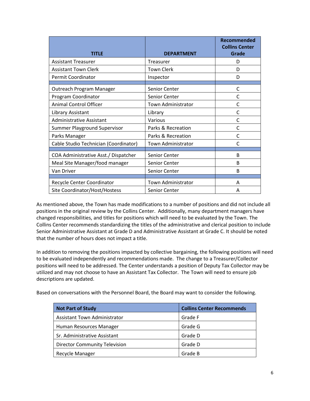| <b>TITLE</b>                          | <b>DEPARTMENT</b>         | Recommended<br><b>Collins Center</b><br><b>Grade</b> |
|---------------------------------------|---------------------------|------------------------------------------------------|
| <b>Assistant Treasurer</b>            | Treasurer                 | D                                                    |
| <b>Assistant Town Clerk</b>           | <b>Town Clerk</b>         | D                                                    |
| <b>Permit Coordinator</b>             | Inspector                 | D                                                    |
| Outreach Program Manager              | <b>Senior Center</b>      | С                                                    |
| Program Coordinator                   | Senior Center             | C                                                    |
| <b>Animal Control Officer</b>         | <b>Town Administrator</b> | C                                                    |
| Library Assistant                     | Library                   | C                                                    |
| <b>Administrative Assistant</b>       | Various                   | С                                                    |
| <b>Summer Playground Supervisor</b>   | Parks & Recreation        | С                                                    |
| Parks Manager                         | Parks & Recreation        | C                                                    |
| Cable Studio Technician (Coordinator) | Town Administrator        | C                                                    |
| COA Administrative Asst./ Dispatcher  | Senior Center             | B                                                    |
| Meal Site Manager/food manager        | Senior Center             | B                                                    |
| Van Driver                            | Senior Center             | B                                                    |
|                                       |                           |                                                      |
| Recycle Center Coordinator            | <b>Town Administrator</b> | A                                                    |
| Site Coordinator/Host/Hostess         | <b>Senior Center</b>      | Α                                                    |

As mentioned above, the Town has made modifications to a number of positions and did not include all positions in the original review by the Collins Center. Additionally, many department managers have changed responsibilities, and titles for positions which will need to be evaluated by the Town. The Collins Center recommends standardizing the titles of the administrative and clerical position to include Senior Administrative Assistant at Grade D and Administrative Assistant at Grade C. It should be noted that the number of hours does not impact a title.

In addition to removing the positions impacted by collective bargaining, the following positions will need to be evaluated independently and recommendations made. The change to a Treasurer/Collector positions will need to be addressed. The Center understands a position of Deputy Tax Collector may be utilized and may not choose to have an Assistant Tax Collector. The Town will need to ensure job descriptions are updated.

Based on conversations with the Personnel Board, the Board may want to consider the following.

| <b>Not Part of Study</b>             | <b>Collins Center Recommends</b> |
|--------------------------------------|----------------------------------|
| <b>Assistant Town Administrator</b>  | Grade F                          |
| Human Resources Manager              | Grade G                          |
| Sr. Administrative Assistant         | Grade D                          |
| <b>Director Community Television</b> | Grade D                          |
| Recycle Manager                      | Grade B                          |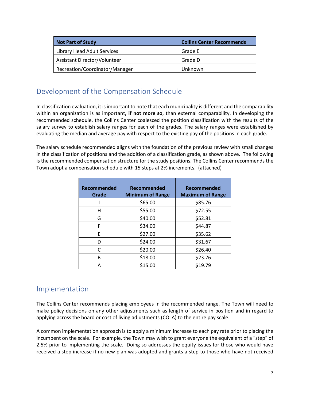| <b>Not Part of Study</b>       | <b>Collins Center Recommends</b> |  |  |  |
|--------------------------------|----------------------------------|--|--|--|
| Library Head Adult Services    | Grade E                          |  |  |  |
| Assistant Director/Volunteer   | Grade D                          |  |  |  |
| Recreation/Coordinator/Manager | Unknown                          |  |  |  |

# <span id="page-7-0"></span>Development of the Compensation Schedule

In classification evaluation, it is important to note that each municipality is different and the comparability within an organization is as important**, if not more so**, than external comparability. In developing the recommended schedule, the Collins Center coalesced the position classification with the results of the salary survey to establish salary ranges for each of the grades. The salary ranges were established by evaluating the median and average pay with respect to the existing pay of the positions in each grade.

The salary schedule recommended aligns with the foundation of the previous review with small changes in the classification of positions and the addition of a classification grade, as shown above. The following is the recommended compensation structure for the study positions. The Collins Center recommends the Town adopt a compensation schedule with 15 steps at 2% increments. (attached)

| <b>Recommended</b><br>Grade | <b>Recommended</b><br><b>Minimum of Range</b> | Recommended<br><b>Maximum of Range</b> |
|-----------------------------|-----------------------------------------------|----------------------------------------|
|                             | \$65.00                                       | \$85.76                                |
| н                           | \$55.00                                       | \$72.55                                |
| G                           | \$40.00                                       | \$52.81                                |
| F                           | \$34.00                                       | \$44.87                                |
| E                           | \$27.00                                       | \$35.62                                |
| D                           | \$24.00                                       | \$31.67                                |
| C                           | \$20.00                                       | \$26.40                                |
| R                           | \$18.00                                       | \$23.76                                |
| А                           | \$15.00                                       | \$19.79                                |

# <span id="page-7-1"></span>Implementation

The Collins Center recommends placing employees in the recommended range. The Town will need to make policy decisions on any other adjustments such as length of service in position and in regard to applying across the board or cost of living adjustments (COLA) to the entire pay scale.

A common implementation approach is to apply a minimum increase to each pay rate prior to placing the incumbent on the scale. For example, the Town may wish to grant everyone the equivalent of a "step" of 2.5% prior to implementing the scale. Doing so addresses the equity issues for those who would have received a step increase if no new plan was adopted and grants a step to those who have not received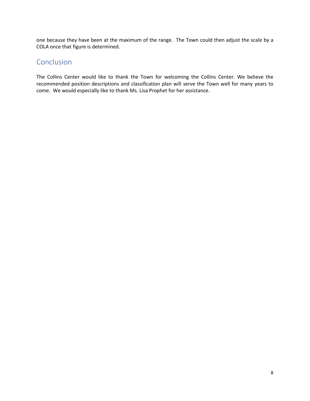one because they have been at the maximum of the range. The Town could then adjust the scale by a COLA once that figure is determined.

## <span id="page-8-0"></span>**Conclusion**

The Collins Center would like to thank the Town for welcoming the Collins Center. We believe the recommended position descriptions and classification plan will serve the Town well for many years to come. We would especially like to thank Ms. Lisa Prophet for her assistance.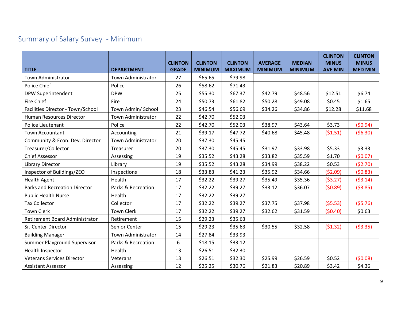# Summary of Salary Survey - Minimum

<span id="page-9-0"></span>

| <b>TITLE</b>                        | <b>DEPARTMENT</b>         | <b>CLINTON</b><br><b>GRADE</b> | <b>CLINTON</b><br><b>MINIMUM</b> | <b>CLINTON</b><br><b>MAXIMUM</b> | <b>AVERAGE</b><br><b>MINIMUM</b> | <b>MEDIAN</b><br><b>MINIMUM</b> | <b>CLINTON</b><br><b>MINUS</b><br><b>AVE MIN</b> | <b>CLINTON</b><br><b>MINUS</b><br><b>MED MIN</b> |
|-------------------------------------|---------------------------|--------------------------------|----------------------------------|----------------------------------|----------------------------------|---------------------------------|--------------------------------------------------|--------------------------------------------------|
| <b>Town Administrator</b>           | Town Administrator        | 27                             | \$65.65                          | \$79.98                          |                                  |                                 |                                                  |                                                  |
| Police Chief                        | Police                    | 26                             | \$58.62                          | \$71.43                          |                                  |                                 |                                                  |                                                  |
| DPW Superintendent                  | <b>DPW</b>                | 25                             | \$55.30                          | \$67.37                          | \$42.79                          | \$48.56                         | \$12.51                                          | \$6.74                                           |
| <b>Fire Chief</b>                   | Fire                      | 24                             | \$50.73                          | \$61.82                          | \$50.28                          | \$49.08                         | \$0.45                                           | \$1.65                                           |
| Facilities Director - Town/School   | Town Admin/ School        | 23                             | \$46.54                          | \$56.69                          | \$34.26                          | \$34.86                         | \$12.28                                          | \$11.68                                          |
| Human Resources Director            | <b>Town Administrator</b> | 22                             | \$42.70                          | \$52.03                          |                                  |                                 |                                                  |                                                  |
| Police Lieutenant                   | Police                    | 22                             | \$42.70                          | \$52.03                          | \$38.97                          | \$43.64                         | \$3.73                                           | (50.94)                                          |
| <b>Town Accountant</b>              | Accounting                | 21                             | \$39.17                          | \$47.72                          | \$40.68                          | \$45.48                         | (51.51)                                          | (56.30)                                          |
| Community & Econ. Dev. Director     | Town Administrator        | 20                             | \$37.30                          | \$45.45                          |                                  |                                 |                                                  |                                                  |
| Treasurer/Collector                 | Treasurer                 | 20                             | \$37.30                          | \$45.45                          | \$31.97                          | \$33.98                         | \$5.33                                           | \$3.33                                           |
| <b>Chief Assessor</b>               | Assessing                 | 19                             | \$35.52                          | \$43.28                          | \$33.82                          | \$35.59                         | \$1.70                                           | (50.07)                                          |
| Library Director                    | Library                   | 19                             | \$35.52                          | \$43.28                          | \$34.99                          | \$38.22                         | \$0.53                                           | (52.70)                                          |
| Inspector of Buildings/ZEO          | Inspections               | 18                             | \$33.83                          | \$41.23                          | \$35.92                          | \$34.66                         | (52.09)                                          | (50.83)                                          |
| <b>Health Agent</b>                 | Health                    | 17                             | \$32.22                          | \$39.27                          | \$35.49                          | \$35.36                         | (53.27)                                          | (53.14)                                          |
| Parks and Recreation Director       | Parks & Recreation        | 17                             | \$32.22                          | \$39.27                          | \$33.12                          | \$36.07                         | (50.89)                                          | ( \$3.85)                                        |
| <b>Public Health Nurse</b>          | Health                    | 17                             | \$32.22                          | \$39.27                          |                                  |                                 |                                                  |                                                  |
| <b>Tax Collector</b>                | Collector                 | 17                             | \$32.22                          | \$39.27                          | \$37.75                          | \$37.98                         | (55.53)                                          | (55.76)                                          |
| <b>Town Clerk</b>                   | <b>Town Clerk</b>         | 17                             | \$32.22                          | \$39.27                          | \$32.62                          | \$31.59                         | (50.40)                                          | \$0.63                                           |
| Retirement Board Administrator      | Retirement                | 15                             | \$29.23                          | \$35.63                          |                                  |                                 |                                                  |                                                  |
| Sr. Center Director                 | Senior Center             | 15                             | \$29.23                          | \$35.63                          | \$30.55                          | \$32.58                         | (51.32)                                          | ( \$3.35)                                        |
| <b>Building Manager</b>             | Town Administrator        | 14                             | \$27.84                          | \$33.93                          |                                  |                                 |                                                  |                                                  |
| <b>Summer Playground Supervisor</b> | Parks & Recreation        | 6                              | \$18.15                          | \$33.12                          |                                  |                                 |                                                  |                                                  |
| Health Inspector                    | Health                    | 13                             | \$26.51                          | \$32.30                          |                                  |                                 |                                                  |                                                  |
| <b>Veterans Services Director</b>   | Veterans                  | 13                             | \$26.51                          | \$32.30                          | \$25.99                          | \$26.59                         | \$0.52                                           | (50.08)                                          |
| <b>Assistant Assessor</b>           | Assessing                 | 12                             | \$25.25                          | \$30.76                          | \$21.83                          | \$20.89                         | \$3.42                                           | \$4.36                                           |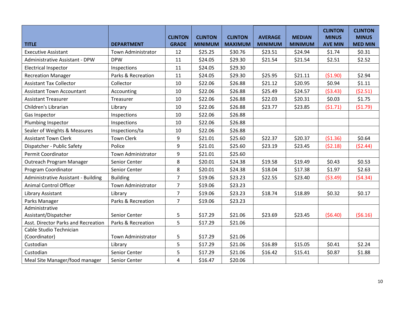| <b>TITLE</b>                             | <b>DEPARTMENT</b>         | <b>CLINTON</b><br><b>GRADE</b> | <b>CLINTON</b><br><b>MINIMUM</b> | <b>CLINTON</b><br><b>MAXIMUM</b> | <b>AVERAGE</b><br><b>MINIMUM</b> | <b>MEDIAN</b><br><b>MINIMUM</b> | <b>CLINTON</b><br><b>MINUS</b><br><b>AVE MIN</b> | <b>CLINTON</b><br><b>MINUS</b><br><b>MED MIN</b> |
|------------------------------------------|---------------------------|--------------------------------|----------------------------------|----------------------------------|----------------------------------|---------------------------------|--------------------------------------------------|--------------------------------------------------|
| <b>Executive Assistant</b>               | <b>Town Administrator</b> | 12                             | \$25.25                          | \$30.76                          | \$23.51                          | \$24.94                         | \$1.74                                           | \$0.31                                           |
| Administrative Assistant - DPW           | <b>DPW</b>                | 11                             | \$24.05                          | \$29.30                          | \$21.54                          | \$21.54                         | \$2.51                                           | \$2.52                                           |
| <b>Electrical Inspector</b>              | Inspections               | 11                             | \$24.05                          | \$29.30                          |                                  |                                 |                                                  |                                                  |
| <b>Recreation Manager</b>                | Parks & Recreation        | 11                             | \$24.05                          | \$29.30                          | \$25.95                          | \$21.11                         | (51.90)                                          | \$2.94                                           |
| <b>Assistant Tax Collector</b>           | Collector                 | 10                             | \$22.06                          | \$26.88                          | \$21.12                          | \$20.95                         | \$0.94                                           | \$1.11                                           |
| <b>Assistant Town Accountant</b>         | Accounting                | 10                             | \$22.06                          | \$26.88                          | \$25.49                          | \$24.57                         | (53.43)                                          | (52.51)                                          |
| <b>Assistant Treasurer</b>               | Treasurer                 | 10                             | \$22.06                          | \$26.88                          | \$22.03                          | \$20.31                         | \$0.03                                           | \$1.75                                           |
| Children's Librarian                     | Library                   | 10                             | \$22.06                          | \$26.88                          | \$23.77                          | \$23.85                         | (51.71)                                          | (51.79)                                          |
| Gas Inspector                            | Inspections               | 10                             | \$22.06                          | \$26.88                          |                                  |                                 |                                                  |                                                  |
| Plumbing Inspector                       | Inspections               | 10                             | \$22.06                          | \$26.88                          |                                  |                                 |                                                  |                                                  |
| Sealer of Weights & Measures             | Inspections/ta            | 10                             | \$22.06                          | \$26.88                          |                                  |                                 |                                                  |                                                  |
| <b>Assistant Town Clerk</b>              | <b>Town Clerk</b>         | 9                              | \$21.01                          | \$25.60                          | \$22.37                          | \$20.37                         | (\$1.36)                                         | \$0.64                                           |
| Dispatcher - Public Safety               | Police                    | 9                              | \$21.01                          | \$25.60                          | \$23.19                          | \$23.45                         | (52.18)                                          | (52.44)                                          |
| <b>Permit Coordinator</b>                | Town Administrator        | 9                              | \$21.01                          | \$25.60                          |                                  |                                 |                                                  |                                                  |
| Outreach Program Manager                 | Senior Center             | 8                              | \$20.01                          | \$24.38                          | \$19.58                          | \$19.49                         | \$0.43                                           | \$0.53                                           |
| Program Coordinator                      | Senior Center             | 8                              | \$20.01                          | \$24.38                          | \$18.04                          | \$17.38                         | \$1.97                                           | \$2.63                                           |
| Administrative Assistant - Building      | <b>Building</b>           | $\overline{7}$                 | \$19.06                          | \$23.23                          | \$22.55                          | \$23.40                         | (53.49)                                          | (54.34)                                          |
| <b>Animal Control Officer</b>            | Town Administrator        | $\overline{7}$                 | \$19.06                          | \$23.23                          |                                  |                                 |                                                  |                                                  |
| Library Assistant                        | Library                   | $\overline{7}$                 | \$19.06                          | \$23.23                          | \$18.74                          | \$18.89                         | \$0.32                                           | \$0.17                                           |
| Parks Manager                            | Parks & Recreation        | $\overline{7}$                 | \$19.06                          | \$23.23                          |                                  |                                 |                                                  |                                                  |
| Administrative<br>Assistant/Dispatcher   | Senior Center             | 5                              | \$17.29                          | \$21.06                          | \$23.69                          | \$23.45                         | (56.40)                                          | (56.16)                                          |
| Asst. Director Parks and Recreation      | Parks & Recreation        | 5                              | \$17.29                          | \$21.06                          |                                  |                                 |                                                  |                                                  |
| Cable Studio Technician<br>(Coordinator) | Town Administrator        | 5                              | \$17.29                          | \$21.06                          |                                  |                                 |                                                  |                                                  |
| Custodian                                | Library                   | 5                              | \$17.29                          | \$21.06                          | \$16.89                          | \$15.05                         | \$0.41                                           | \$2.24                                           |
| Custodian                                | Senior Center             | 5                              | \$17.29                          | \$21.06                          | \$16.42                          | \$15.41                         | \$0.87                                           | \$1.88                                           |
| Meal Site Manager/food manager           | Senior Center             | 4                              | \$16.47                          | \$20.06                          |                                  |                                 |                                                  |                                                  |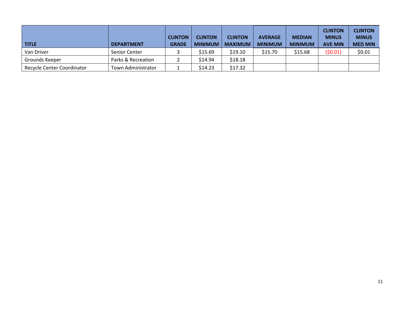| <b>TITLE</b>               | <b>DEPARTMENT</b>  | <b>CLINTON</b><br><b>GRADE</b> | <b>CLINTON</b><br><b>MINIMUM</b> | <b>CLINTON</b><br><b>MAXIMUM</b> | <b>AVERAGE</b><br><b>MINIMUM</b> | <b>MEDIAN</b><br><b>MINIMUM</b> | <b>CLINTON</b><br><b>MINUS</b><br><b>AVE MIN</b> | <b>CLINTON</b><br><b>MINUS</b><br><b>MED MIN</b> |
|----------------------------|--------------------|--------------------------------|----------------------------------|----------------------------------|----------------------------------|---------------------------------|--------------------------------------------------|--------------------------------------------------|
| Van Driver                 | Senior Center      |                                | \$15.69                          | \$19.10                          | \$15.70                          | \$15.68                         | (50.01)                                          | \$0.01                                           |
| Grounds Keeper             | Parks & Recreation |                                | \$14.94                          | \$18.18                          |                                  |                                 |                                                  |                                                  |
| Recycle Center Coordinator | Town Administrator |                                | \$14.23                          | \$17.32                          |                                  |                                 |                                                  |                                                  |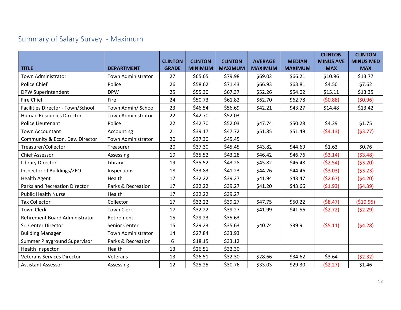# Summary of Salary Survey - Maximum

<span id="page-12-0"></span>

| <b>TITLE</b>                        | <b>DEPARTMENT</b>         | <b>CLINTON</b><br><b>GRADE</b> | <b>CLINTON</b><br><b>MINIMUM</b> | <b>CLINTON</b><br><b>MAXIMUM</b> | <b>AVERAGE</b><br><b>MAXIMUM</b> | <b>MEDIAN</b><br><b>MAXIMUM</b> | <b>CLINTON</b><br><b>MINUS AVE</b><br><b>MAX</b> | <b>CLINTON</b><br><b>MINUS MED</b><br><b>MAX</b> |
|-------------------------------------|---------------------------|--------------------------------|----------------------------------|----------------------------------|----------------------------------|---------------------------------|--------------------------------------------------|--------------------------------------------------|
| <b>Town Administrator</b>           | <b>Town Administrator</b> | 27                             | \$65.65                          | \$79.98                          | \$69.02                          | \$66.21                         | \$10.96                                          | \$13.77                                          |
| Police Chief                        | Police                    | 26                             | \$58.62                          | \$71.43                          | \$66.93                          | \$63.81                         | \$4.50                                           | \$7.62                                           |
| <b>DPW Superintendent</b>           | <b>DPW</b>                | 25                             | \$55.30                          | \$67.37                          | \$52.26                          | \$54.02                         | \$15.11                                          | \$13.35                                          |
| <b>Fire Chief</b>                   | Fire                      | 24                             | \$50.73                          | \$61.82                          | \$62.70                          | \$62.78                         | (50.88)                                          | (50.96)                                          |
| Facilities Director - Town/School   | Town Admin/ School        | 23                             | \$46.54                          | \$56.69                          | \$42.21                          | \$43.27                         | \$14.48                                          | \$13.42                                          |
| Human Resources Director            | Town Administrator        | 22                             | \$42.70                          | \$52.03                          |                                  |                                 |                                                  |                                                  |
| Police Lieutenant                   | Police                    | 22                             | \$42.70                          | \$52.03                          | \$47.74                          | \$50.28                         | \$4.29                                           | \$1.75                                           |
| <b>Town Accountant</b>              | Accounting                | 21                             | \$39.17                          | \$47.72                          | \$51.85                          | \$51.49                         | (54.13)                                          | (53.77)                                          |
| Community & Econ. Dev. Director     | <b>Town Administrator</b> | 20                             | \$37.30                          | \$45.45                          |                                  |                                 |                                                  |                                                  |
| Treasurer/Collector                 | Treasurer                 | 20                             | \$37.30                          | \$45.45                          | \$43.82                          | \$44.69                         | \$1.63                                           | \$0.76                                           |
| <b>Chief Assessor</b>               | Assessing                 | 19                             | \$35.52                          | \$43.28                          | \$46.42                          | \$46.76                         | (53.14)                                          | (53.48)                                          |
| Library Director                    | Library                   | 19                             | \$35.52                          | \$43.28                          | \$45.82                          | \$46.48                         | (52.54)                                          | (53.20)                                          |
| Inspector of Buildings/ZEO          | Inspections               | 18                             | \$33.83                          | \$41.23                          | \$44.26                          | \$44.46                         | (53.03)                                          | (53.23)                                          |
| <b>Health Agent</b>                 | Health                    | 17                             | \$32.22                          | \$39.27                          | \$41.94                          | \$43.47                         | (52.67)                                          | (54.20)                                          |
| Parks and Recreation Director       | Parks & Recreation        | 17                             | \$32.22                          | \$39.27                          | \$41.20                          | \$43.66                         | (51.93)                                          | (54.39)                                          |
| <b>Public Health Nurse</b>          | Health                    | 17                             | \$32.22                          | \$39.27                          |                                  |                                 |                                                  |                                                  |
| <b>Tax Collector</b>                | Collector                 | 17                             | \$32.22                          | \$39.27                          | \$47.75                          | \$50.22                         | (58.47)                                          | ( \$10.95)                                       |
| <b>Town Clerk</b>                   | <b>Town Clerk</b>         | 17                             | \$32.22                          | \$39.27                          | \$41.99                          | \$41.56                         | (52.72)                                          | (52.29)                                          |
| Retirement Board Administrator      | Retirement                | 15                             | \$29.23                          | \$35.63                          |                                  |                                 |                                                  |                                                  |
| Sr. Center Director                 | Senior Center             | 15                             | \$29.23                          | \$35.63                          | \$40.74                          | \$39.91                         | (55.11)                                          | (54.28)                                          |
| <b>Building Manager</b>             | <b>Town Administrator</b> | 14                             | \$27.84                          | \$33.93                          |                                  |                                 |                                                  |                                                  |
| <b>Summer Playground Supervisor</b> | Parks & Recreation        | 6                              | \$18.15                          | \$33.12                          |                                  |                                 |                                                  |                                                  |
| Health Inspector                    | Health                    | 13                             | \$26.51                          | \$32.30                          |                                  |                                 |                                                  |                                                  |
| <b>Veterans Services Director</b>   | Veterans                  | 13                             | \$26.51                          | \$32.30                          | \$28.66                          | \$34.62                         | \$3.64                                           | (52.32)                                          |
| <b>Assistant Assessor</b>           | Assessing                 | 12                             | \$25.25                          | \$30.76                          | \$33.03                          | \$29.30                         | (52.27)                                          | \$1.46                                           |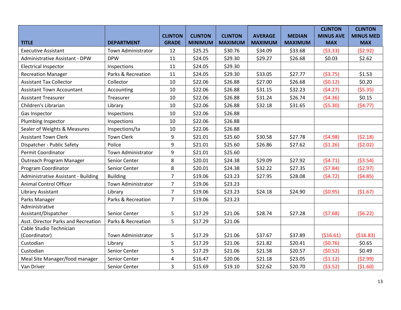|                                     |                           |                |                |                |                |                | <b>CLINTON</b>   | <b>CLINTON</b>   |
|-------------------------------------|---------------------------|----------------|----------------|----------------|----------------|----------------|------------------|------------------|
|                                     |                           | <b>CLINTON</b> | <b>CLINTON</b> | <b>CLINTON</b> | <b>AVERAGE</b> | <b>MEDIAN</b>  | <b>MINUS AVE</b> | <b>MINUS MED</b> |
| <b>TITLE</b>                        | <b>DEPARTMENT</b>         | <b>GRADE</b>   | <b>MINIMUM</b> | <b>MAXIMUM</b> | <b>MAXIMUM</b> | <b>MAXIMUM</b> | <b>MAX</b>       | <b>MAX</b>       |
| <b>Executive Assistant</b>          | <b>Town Administrator</b> | 12             | \$25.25        | \$30.76        | \$34.09        | \$33.68        | (53.33)          | (52.92)          |
| Administrative Assistant - DPW      | <b>DPW</b>                | 11             | \$24.05        | \$29.30        | \$29.27        | \$26.68        | \$0.03           | \$2.62           |
| <b>Electrical Inspector</b>         | Inspections               | 11             | \$24.05        | \$29.30        |                |                |                  |                  |
| <b>Recreation Manager</b>           | Parks & Recreation        | 11             | \$24.05        | \$29.30        | \$33.05        | \$27.77        | (53.75)          | \$1.53           |
| <b>Assistant Tax Collector</b>      | Collector                 | 10             | \$22.06        | \$26.88        | \$27.00        | \$26.68        | (50.12)          | \$0.20           |
| <b>Assistant Town Accountant</b>    | Accounting                | 10             | \$22.06        | \$26.88        | \$31.15        | \$32.23        | (54.27)          | (55.35)          |
| <b>Assistant Treasurer</b>          | Treasurer                 | $10\,$         | \$22.06        | \$26.88        | \$31.24        | \$26.74        | (54.36)          | \$0.15           |
| Children's Librarian                | Library                   | 10             | \$22.06        | \$26.88        | \$32.18        | \$31.65        | (55.30)          | (54.77)          |
| Gas Inspector                       | Inspections               | 10             | \$22.06        | \$26.88        |                |                |                  |                  |
| Plumbing Inspector                  | Inspections               | 10             | \$22.06        | \$26.88        |                |                |                  |                  |
| Sealer of Weights & Measures        | Inspections/ta            | 10             | \$22.06        | \$26.88        |                |                |                  |                  |
| <b>Assistant Town Clerk</b>         | <b>Town Clerk</b>         | 9              | \$21.01        | \$25.60        | \$30.58        | \$27.78        | (54.98)          | (52.18)          |
| Dispatcher - Public Safety          | Police                    | 9              | \$21.01        | \$25.60        | \$26.86        | \$27.62        | (51.26)          | (52.02)          |
| <b>Permit Coordinator</b>           | <b>Town Administrator</b> | 9              | \$21.01        | \$25.60        |                |                |                  |                  |
| Outreach Program Manager            | Senior Center             | 8              | \$20.01        | \$24.38        | \$29.09        | \$27.92        | (54.71)          | (53.54)          |
| Program Coordinator                 | Senior Center             | 8              | \$20.01        | \$24.38        | \$32.22        | \$27.35        | (57.84)          | (52.97)          |
| Administrative Assistant - Building | <b>Building</b>           | $\overline{7}$ | \$19.06        | \$23.23        | \$27.95        | \$28.08        | (54.72)          | (54.85)          |
| <b>Animal Control Officer</b>       | Town Administrator        | $\overline{7}$ | \$19.06        | \$23.23        |                |                |                  |                  |
| Library Assistant                   | Library                   | $\overline{7}$ | \$19.06        | \$23.23        | \$24.18        | \$24.90        | (50.95)          | (\$1.67)         |
| Parks Manager                       | Parks & Recreation        | $\overline{7}$ | \$19.06        | \$23.23        |                |                |                  |                  |
| Administrative                      |                           |                |                |                |                |                |                  |                  |
| Assistant/Dispatcher                | Senior Center             | 5              | \$17.29        | \$21.06        | \$28.74        | \$27.28        | (57.68)          | (56.22)          |
| Asst. Director Parks and Recreation | Parks & Recreation        | 5              | \$17.29        | \$21.06        |                |                |                  |                  |
| Cable Studio Technician             |                           |                |                |                |                |                |                  |                  |
| (Coordinator)                       | <b>Town Administrator</b> | 5              | \$17.29        | \$21.06        | \$37.67        | \$37.89        | (516.61)         | ( \$16.83)       |
| Custodian                           | Library                   | 5              | \$17.29        | \$21.06        | \$21.82        | \$20.41        | (50.76)          | \$0.65           |
| Custodian                           | Senior Center             | 5              | \$17.29        | \$21.06        | \$21.58        | \$20.57        | (50.52)          | \$0.49           |
| Meal Site Manager/food manager      | Senior Center             | 4              | \$16.47        | \$20.06        | \$21.18        | \$23.05        | (51.12)          | (52.99)          |
| Van Driver                          | Senior Center             | 3              | \$15.69        | \$19.10        | \$22.62        | \$20.70        | ( \$3.52)        | (\$1.60)         |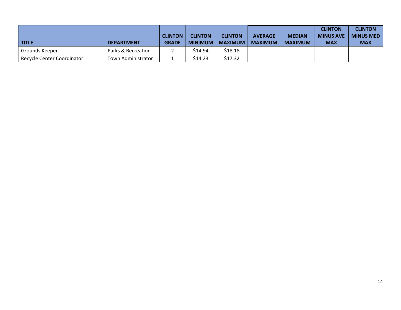|                            |                    | <b>CLINTON</b> | <b>CLINTON</b> | <b>CLINTON</b> | <b>AVERAGE</b> | <b>MEDIAN</b>  | <b>CLINTON</b><br><b>MINUS AVE</b> | <b>CLINTON</b><br><b>MINUS MED</b> |
|----------------------------|--------------------|----------------|----------------|----------------|----------------|----------------|------------------------------------|------------------------------------|
| <b>TITLE</b>               | <b>DEPARTMENT</b>  | <b>GRADE</b>   | <b>MINIMUM</b> | <b>MAXIMUM</b> | <b>MAXIMUM</b> | <b>MAXIMUM</b> | <b>MAX</b>                         | MAX                                |
| Grounds Keeper             | Parks & Recreation |                | \$14.94        | \$18.18        |                |                |                                    |                                    |
| Recycle Center Coordinator | Town Administrator |                | \$14.23        | \$17.32        |                |                |                                    |                                    |